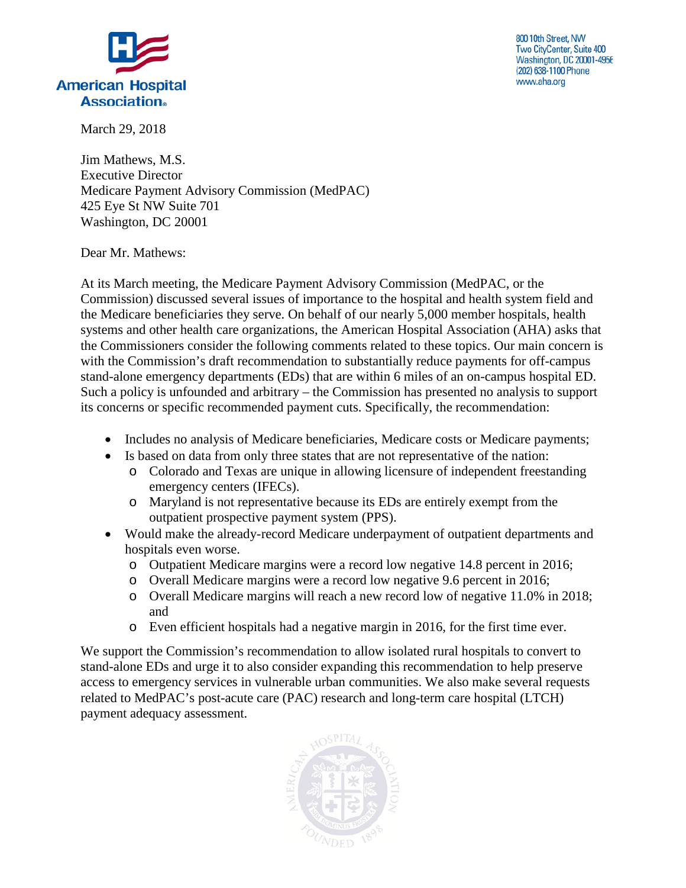

800 10th Street, NW Two CityCenter, Suite 400 Washington, DC 20001-4956 (202) 638-1100 Phone www.aha.org

March 29, 2018

Jim Mathews, M.S. Executive Director Medicare Payment Advisory Commission (MedPAC) 425 Eye St NW Suite 701 Washington, DC 20001

Dear Mr. Mathews:

At its March meeting, the Medicare Payment Advisory Commission (MedPAC, or the Commission) discussed several issues of importance to the hospital and health system field and the Medicare beneficiaries they serve. On behalf of our nearly 5,000 member hospitals, health systems and other health care organizations, the American Hospital Association (AHA) asks that the Commissioners consider the following comments related to these topics. Our main concern is with the Commission's draft recommendation to substantially reduce payments for off-campus stand-alone emergency departments (EDs) that are within 6 miles of an on-campus hospital ED. Such a policy is unfounded and arbitrary – the Commission has presented no analysis to support its concerns or specific recommended payment cuts. Specifically, the recommendation:

- Includes no analysis of Medicare beneficiaries, Medicare costs or Medicare payments;
- Is based on data from only three states that are not representative of the nation:
	- o Colorado and Texas are unique in allowing licensure of independent freestanding emergency centers (IFECs).
	- o Maryland is not representative because its EDs are entirely exempt from the outpatient prospective payment system (PPS).
- Would make the already-record Medicare underpayment of outpatient departments and hospitals even worse.
	- o Outpatient Medicare margins were a record low negative 14.8 percent in 2016;
	- o Overall Medicare margins were a record low negative 9.6 percent in 2016;
	- o Overall Medicare margins will reach a new record low of negative 11.0% in 2018; and
	- o Even efficient hospitals had a negative margin in 2016, for the first time ever.

We support the Commission's recommendation to allow isolated rural hospitals to convert to stand-alone EDs and urge it to also consider expanding this recommendation to help preserve access to emergency services in vulnerable urban communities. We also make several requests related to MedPAC's post-acute care (PAC) research and long-term care hospital (LTCH) payment adequacy assessment.

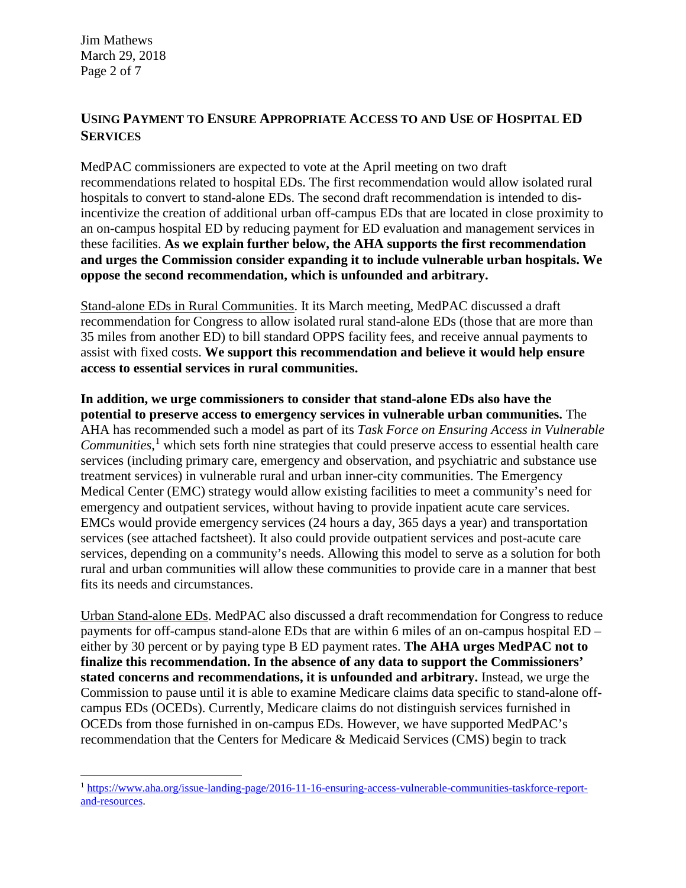Jim Mathews March 29, 2018 Page 2 of 7

#### **USING PAYMENT TO ENSURE APPROPRIATE ACCESS TO AND USE OF HOSPITAL ED SERVICES**

MedPAC commissioners are expected to vote at the April meeting on two draft recommendations related to hospital EDs. The first recommendation would allow isolated rural hospitals to convert to stand-alone EDs. The second draft recommendation is intended to disincentivize the creation of additional urban off-campus EDs that are located in close proximity to an on-campus hospital ED by reducing payment for ED evaluation and management services in these facilities. **As we explain further below, the AHA supports the first recommendation and urges the Commission consider expanding it to include vulnerable urban hospitals. We oppose the second recommendation, which is unfounded and arbitrary.**

Stand-alone EDs in Rural Communities. It its March meeting, MedPAC discussed a draft recommendation for Congress to allow isolated rural stand-alone EDs (those that are more than 35 miles from another ED) to bill standard OPPS facility fees, and receive annual payments to assist with fixed costs. **We support this recommendation and believe it would help ensure access to essential services in rural communities.**

**In addition, we urge commissioners to consider that stand-alone EDs also have the potential to preserve access to emergency services in vulnerable urban communities.** The AHA has recommended such a model as part of its *Task Force on Ensuring Access in Vulnerable Communities*, [1](#page-1-0) which sets forth nine strategies that could preserve access to essential health care services (including primary care, emergency and observation, and psychiatric and substance use treatment services) in vulnerable rural and urban inner-city communities. The Emergency Medical Center (EMC) strategy would allow existing facilities to meet a community's need for emergency and outpatient services, without having to provide inpatient acute care services. EMCs would provide emergency services (24 hours a day, 365 days a year) and transportation services (see attached factsheet). It also could provide outpatient services and post-acute care services, depending on a community's needs. Allowing this model to serve as a solution for both rural and urban communities will allow these communities to provide care in a manner that best fits its needs and circumstances.

Urban Stand-alone EDs. MedPAC also discussed a draft recommendation for Congress to reduce payments for off-campus stand-alone EDs that are within 6 miles of an on-campus hospital ED – either by 30 percent or by paying type B ED payment rates. **The AHA urges MedPAC not to finalize this recommendation. In the absence of any data to support the Commissioners' stated concerns and recommendations, it is unfounded and arbitrary.** Instead, we urge the Commission to pause until it is able to examine Medicare claims data specific to stand-alone offcampus EDs (OCEDs). Currently, Medicare claims do not distinguish services furnished in OCEDs from those furnished in on-campus EDs. However, we have supported MedPAC's recommendation that the Centers for Medicare & Medicaid Services (CMS) begin to track

<span id="page-1-0"></span><sup>1</sup> [https://www.aha.org/issue-landing-page/2016-11-16-ensuring-access-vulnerable-communities-taskforce-report](https://www.aha.org/issue-landing-page/2016-11-16-ensuring-access-vulnerable-communities-taskforce-report-and-resources)[and-resources.](https://www.aha.org/issue-landing-page/2016-11-16-ensuring-access-vulnerable-communities-taskforce-report-and-resources)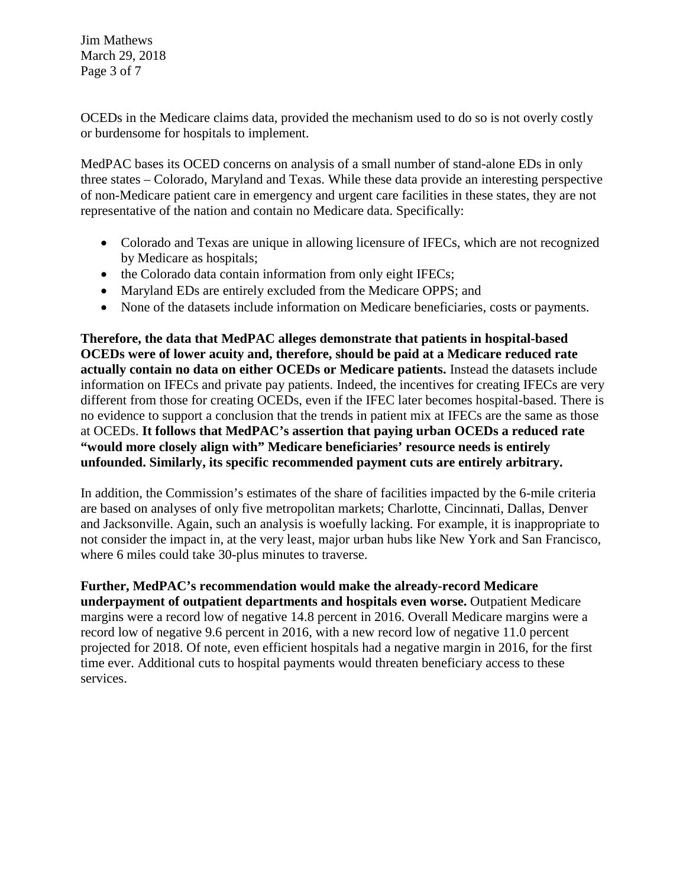Jim Mathews March 29, 2018 Page 3 of 7

OCEDs in the Medicare claims data, provided the mechanism used to do so is not overly costly or burdensome for hospitals to implement.

MedPAC bases its OCED concerns on analysis of a small number of stand-alone EDs in only three states – Colorado, Maryland and Texas. While these data provide an interesting perspective of non-Medicare patient care in emergency and urgent care facilities in these states, they are not representative of the nation and contain no Medicare data. Specifically:

- Colorado and Texas are unique in allowing licensure of IFECs, which are not recognized by Medicare as hospitals;
- the Colorado data contain information from only eight IFECs;
- Maryland EDs are entirely excluded from the Medicare OPPS; and
- None of the datasets include information on Medicare beneficiaries, costs or payments.

**Therefore, the data that MedPAC alleges demonstrate that patients in hospital-based OCEDs were of lower acuity and, therefore, should be paid at a Medicare reduced rate actually contain no data on either OCEDs or Medicare patients.** Instead the datasets include information on IFECs and private pay patients. Indeed, the incentives for creating IFECs are very different from those for creating OCEDs, even if the IFEC later becomes hospital-based. There is no evidence to support a conclusion that the trends in patient mix at IFECs are the same as those at OCEDs. **It follows that MedPAC's assertion that paying urban OCEDs a reduced rate "would more closely align with" Medicare beneficiaries' resource needs is entirely unfounded. Similarly, its specific recommended payment cuts are entirely arbitrary.**

In addition, the Commission's estimates of the share of facilities impacted by the 6-mile criteria are based on analyses of only five metropolitan markets; Charlotte, Cincinnati, Dallas, Denver and Jacksonville. Again, such an analysis is woefully lacking. For example, it is inappropriate to not consider the impact in, at the very least, major urban hubs like New York and San Francisco, where 6 miles could take 30-plus minutes to traverse.

**Further, MedPAC's recommendation would make the already-record Medicare underpayment of outpatient departments and hospitals even worse.** Outpatient Medicare margins were a record low of negative 14.8 percent in 2016. Overall Medicare margins were a record low of negative 9.6 percent in 2016, with a new record low of negative 11.0 percent projected for 2018. Of note, even efficient hospitals had a negative margin in 2016, for the first time ever. Additional cuts to hospital payments would threaten beneficiary access to these services.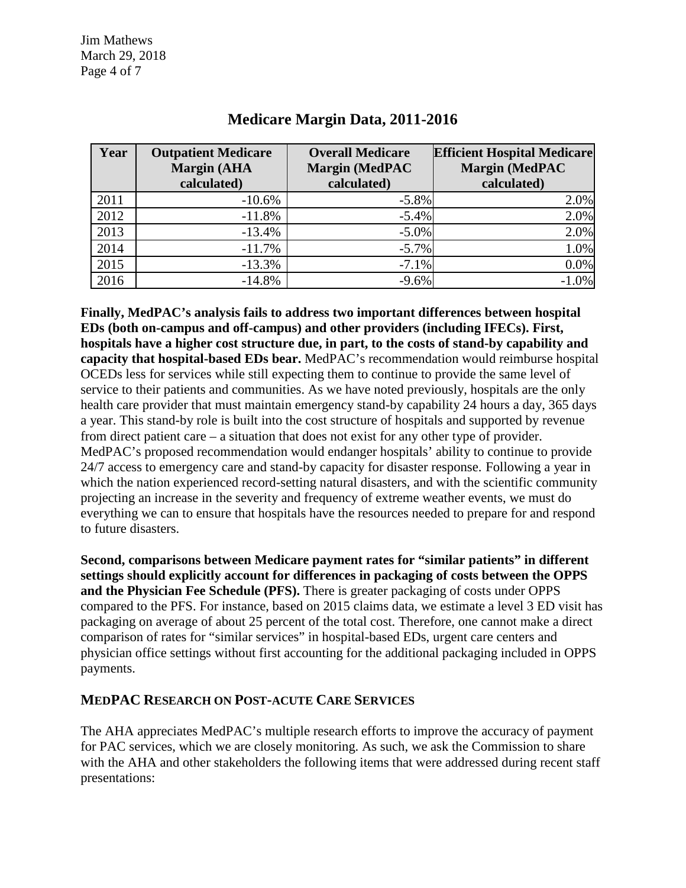| Year | <b>Outpatient Medicare</b><br><b>Margin (AHA</b><br>calculated) | <b>Overall Medicare</b><br>Margin (MedPAC<br>calculated) | <b>Efficient Hospital Medicare</b><br><b>Margin (MedPAC</b><br>calculated) |
|------|-----------------------------------------------------------------|----------------------------------------------------------|----------------------------------------------------------------------------|
| 2011 | $-10.6%$                                                        | $-5.8\%$                                                 | 2.0%                                                                       |
| 2012 | $-11.8%$                                                        | $-5.4%$                                                  | 2.0%                                                                       |
| 2013 | $-13.4%$                                                        | $-5.0\%$                                                 | 2.0%                                                                       |
| 2014 | $-11.7%$                                                        | $-5.7\%$                                                 | 1.0%                                                                       |
| 2015 | $-13.3%$                                                        | $-7.1%$                                                  | 0.0%                                                                       |
| 2016 | $-14.8%$                                                        | $-9.6%$                                                  | $-1.0%$                                                                    |

### **Medicare Margin Data, 2011-2016**

**Finally, MedPAC's analysis fails to address two important differences between hospital EDs (both on-campus and off-campus) and other providers (including IFECs). First, hospitals have a higher cost structure due, in part, to the costs of stand-by capability and capacity that hospital-based EDs bear.** MedPAC's recommendation would reimburse hospital OCEDs less for services while still expecting them to continue to provide the same level of service to their patients and communities. As we have noted previously, hospitals are the only health care provider that must maintain emergency stand-by capability 24 hours a day, 365 days a year. This stand-by role is built into the cost structure of hospitals and supported by revenue from direct patient care – a situation that does not exist for any other type of provider. MedPAC's proposed recommendation would endanger hospitals' ability to continue to provide 24/7 access to emergency care and stand-by capacity for disaster response. Following a year in which the nation experienced record-setting natural disasters, and with the scientific community projecting an increase in the severity and frequency of extreme weather events, we must do everything we can to ensure that hospitals have the resources needed to prepare for and respond to future disasters.

**Second, comparisons between Medicare payment rates for "similar patients" in different settings should explicitly account for differences in packaging of costs between the OPPS and the Physician Fee Schedule (PFS).** There is greater packaging of costs under OPPS compared to the PFS. For instance, based on 2015 claims data, we estimate a level 3 ED visit has packaging on average of about 25 percent of the total cost. Therefore, one cannot make a direct comparison of rates for "similar services" in hospital-based EDs, urgent care centers and physician office settings without first accounting for the additional packaging included in OPPS payments.

#### **MEDPAC RESEARCH ON POST-ACUTE CARE SERVICES**

The AHA appreciates MedPAC's multiple research efforts to improve the accuracy of payment for PAC services, which we are closely monitoring. As such, we ask the Commission to share with the AHA and other stakeholders the following items that were addressed during recent staff presentations: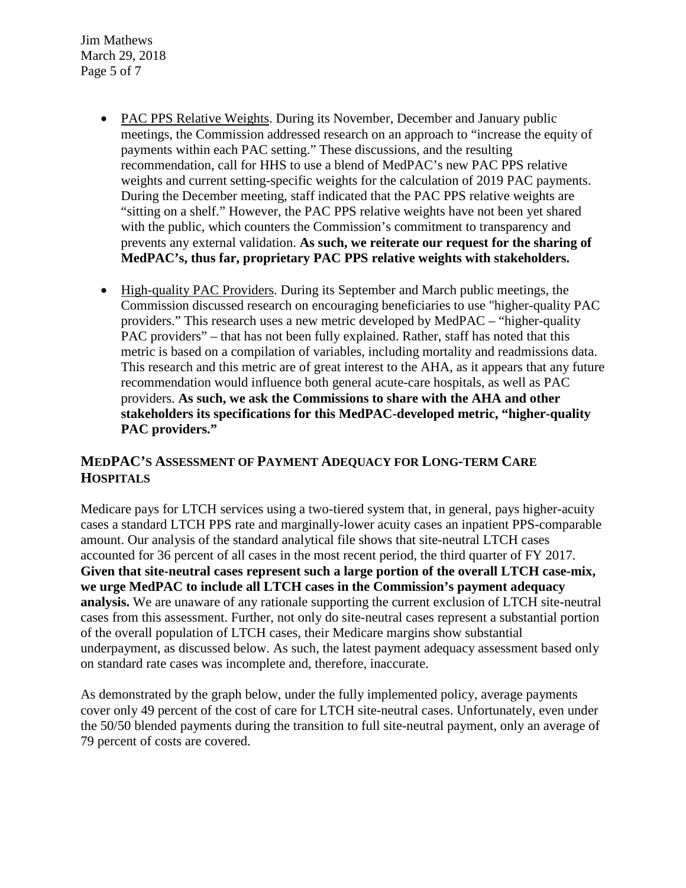Jim Mathews March 29, 2018 Page 5 of 7

- PAC PPS Relative Weights. During its November, December and January public meetings, the Commission addressed research on an approach to "increase the equity of payments within each PAC setting." These discussions, and the resulting recommendation, call for HHS to use a blend of MedPAC's new PAC PPS relative weights and current setting-specific weights for the calculation of 2019 PAC payments. During the December meeting, staff indicated that the PAC PPS relative weights are "sitting on a shelf." However, the PAC PPS relative weights have not been yet shared with the public, which counters the Commission's commitment to transparency and prevents any external validation. **As such, we reiterate our request for the sharing of MedPAC's, thus far, proprietary PAC PPS relative weights with stakeholders.**
- High-quality PAC Providers. During its September and March public meetings, the Commission discussed research on encouraging beneficiaries to use "higher-quality PAC providers." This research uses a new metric developed by MedPAC – "higher-quality PAC providers" – that has not been fully explained. Rather, staff has noted that this metric is based on a compilation of variables, including mortality and readmissions data. This research and this metric are of great interest to the AHA, as it appears that any future recommendation would influence both general acute-care hospitals, as well as PAC providers. **As such, we ask the Commissions to share with the AHA and other stakeholders its specifications for this MedPAC-developed metric, "higher-quality PAC providers."**

#### **MEDPAC'S ASSESSMENT OF PAYMENT ADEQUACY FOR LONG-TERM CARE HOSPITALS**

Medicare pays for LTCH services using a two-tiered system that, in general, pays higher-acuity cases a standard LTCH PPS rate and marginally-lower acuity cases an inpatient PPS-comparable amount. Our analysis of the standard analytical file shows that site-neutral LTCH cases accounted for 36 percent of all cases in the most recent period, the third quarter of FY 2017. **Given that site-neutral cases represent such a large portion of the overall LTCH case-mix, we urge MedPAC to include all LTCH cases in the Commission's payment adequacy analysis.** We are unaware of any rationale supporting the current exclusion of LTCH site-neutral cases from this assessment. Further, not only do site-neutral cases represent a substantial portion of the overall population of LTCH cases, their Medicare margins show substantial underpayment, as discussed below. As such, the latest payment adequacy assessment based only on standard rate cases was incomplete and, therefore, inaccurate.

As demonstrated by the graph below, under the fully implemented policy, average payments cover only 49 percent of the cost of care for LTCH site-neutral cases. Unfortunately, even under the 50/50 blended payments during the transition to full site-neutral payment, only an average of 79 percent of costs are covered.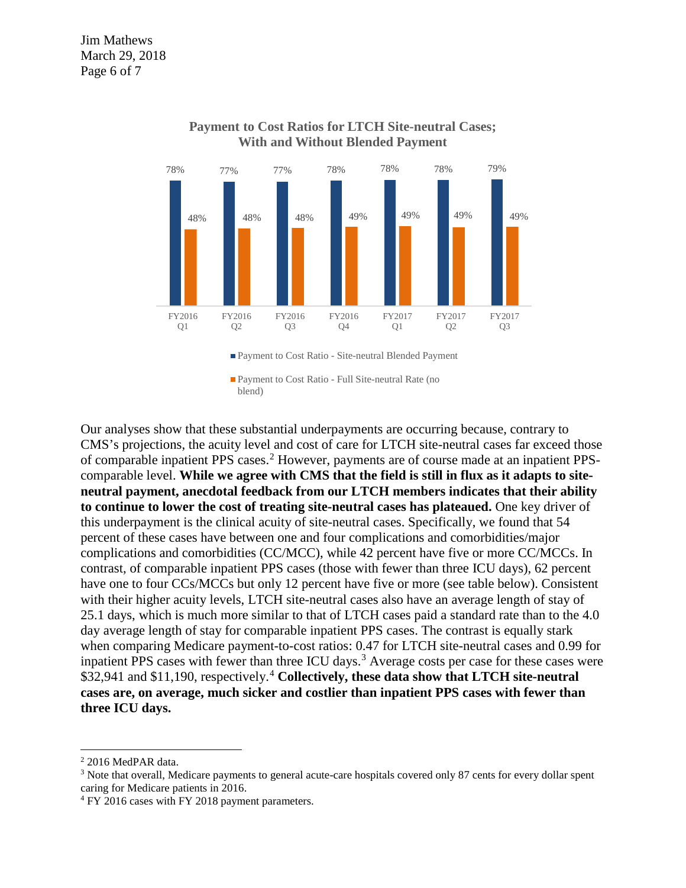

#### **Payment to Cost Ratios for LTCH Site-neutral Cases; With and Without Blended Payment**

■ Payment to Cost Ratio - Full Site-neutral Rate (no blend)

Our analyses show that these substantial underpayments are occurring because, contrary to CMS's projections, the acuity level and cost of care for LTCH site-neutral cases far exceed those of comparable inpatient PPS cases.<sup>[2](#page-5-0)</sup> However, payments are of course made at an inpatient PPScomparable level. **While we agree with CMS that the field is still in flux as it adapts to siteneutral payment, anecdotal feedback from our LTCH members indicates that their ability to continue to lower the cost of treating site-neutral cases has plateaued.** One key driver of this underpayment is the clinical acuity of site-neutral cases. Specifically, we found that 54 percent of these cases have between one and four complications and comorbidities/major complications and comorbidities (CC/MCC), while 42 percent have five or more CC/MCCs. In contrast, of comparable inpatient PPS cases (those with fewer than three ICU days), 62 percent have one to four CCs/MCCs but only 12 percent have five or more (see table below). Consistent with their higher acuity levels, LTCH site-neutral cases also have an average length of stay of 25.1 days, which is much more similar to that of LTCH cases paid a standard rate than to the 4.0 day average length of stay for comparable inpatient PPS cases. The contrast is equally stark when comparing Medicare payment-to-cost ratios: 0.47 for LTCH site-neutral cases and 0.99 for inpatient PPS cases with fewer than three ICU days.<sup>[3](#page-5-1)</sup> Average costs per case for these cases were \$32,941 and \$11,190, respectively.[4](#page-5-2) **Collectively, these data show that LTCH site-neutral cases are, on average, much sicker and costlier than inpatient PPS cases with fewer than three ICU days.** 

<span id="page-5-0"></span><sup>2</sup> 2016 MedPAR data.

<span id="page-5-1"></span><sup>3</sup> Note that overall, Medicare payments to general acute-care hospitals covered only 87 cents for every dollar spent caring for Medicare patients in 2016.

<span id="page-5-2"></span><sup>4</sup> FY 2016 cases with FY 2018 payment parameters.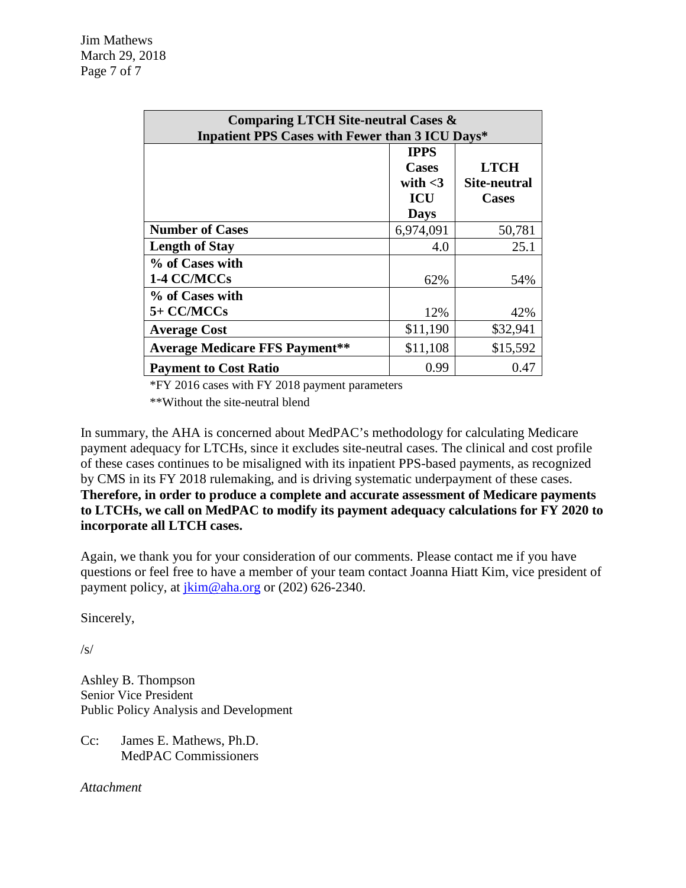| <b>Comparing LTCH Site-neutral Cases &amp;</b><br>Inpatient PPS Cases with Fewer than 3 ICU Days* |                                                                        |                                             |  |  |  |
|---------------------------------------------------------------------------------------------------|------------------------------------------------------------------------|---------------------------------------------|--|--|--|
|                                                                                                   | <b>IPPS</b><br><b>Cases</b><br>with $<$ 3<br><b>ICU</b><br><b>Days</b> | <b>LTCH</b><br>Site-neutral<br><b>Cases</b> |  |  |  |
| <b>Number of Cases</b>                                                                            | 6,974,091                                                              | 50,781                                      |  |  |  |
| <b>Length of Stay</b>                                                                             | 4.0                                                                    | 25.1                                        |  |  |  |
| % of Cases with<br>1-4 CC/MCCs                                                                    | 62%                                                                    | 54%                                         |  |  |  |
| % of Cases with                                                                                   |                                                                        |                                             |  |  |  |
| 5+ CC/MCCs                                                                                        | 12%                                                                    | 42%                                         |  |  |  |
| <b>Average Cost</b>                                                                               | \$11,190                                                               | \$32,941                                    |  |  |  |
| <b>Average Medicare FFS Payment**</b>                                                             | \$11,108                                                               | \$15,592                                    |  |  |  |
| <b>Payment to Cost Ratio</b>                                                                      | 0.99                                                                   | 0.47                                        |  |  |  |

\*FY 2016 cases with FY 2018 payment parameters

\*\*Without the site-neutral blend

In summary, the AHA is concerned about MedPAC's methodology for calculating Medicare payment adequacy for LTCHs, since it excludes site-neutral cases. The clinical and cost profile of these cases continues to be misaligned with its inpatient PPS-based payments, as recognized by CMS in its FY 2018 rulemaking, and is driving systematic underpayment of these cases. **Therefore, in order to produce a complete and accurate assessment of Medicare payments to LTCHs, we call on MedPAC to modify its payment adequacy calculations for FY 2020 to incorporate all LTCH cases.**

Again, we thank you for your consideration of our comments. Please contact me if you have questions or feel free to have a member of your team contact Joanna Hiatt Kim, vice president of payment policy, at  $\overline{\lim_{n \to \infty}}$  or (202) 626-2340.

Sincerely,

/s/

Ashley B. Thompson Senior Vice President Public Policy Analysis and Development

Cc: James E. Mathews, Ph.D. MedPAC Commissioners

*Attachment*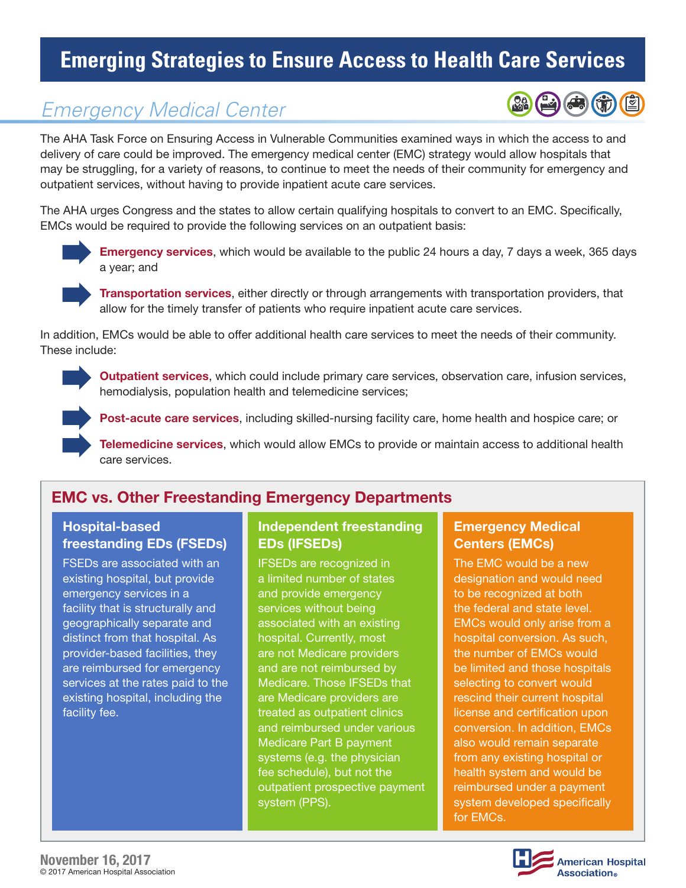# **Emerging Strategies to Ensure Access to Health Care Services**

## *Emergency Medical Center*

The AHA Task Force on Ensuring Access in Vulnerable Communities examined ways in which the access to and delivery of care could be improved. The emergency medical center (EMC) strategy would allow hospitals that may be struggling, for a variety of reasons, to continue to meet the needs of their community for emergency and outpatient services, without having to provide inpatient acute care services.

The AHA urges Congress and the states to allow certain qualifying hospitals to convert to an EMC. Specifically, EMCs would be required to provide the following services on an outpatient basis:



Emergency services, which would be available to the public 24 hours a day, 7 days a week, 365 days a year; and

Transportation services, either directly or through arrangements with transportation providers, that allow for the timely transfer of patients who require inpatient acute care services.

In addition, EMCs would be able to offer additional health care services to meet the needs of their community. These include:



Outpatient services, which could include primary care services, observation care, infusion services, hemodialysis, population health and telemedicine services;



Post-acute care services, including skilled-nursing facility care, home health and hospice care; or

Telemedicine services, which would allow EMCs to provide or maintain access to additional health care services.

### EMC vs. Other Freestanding Emergency Departments

#### Hospital-based freestanding EDs (FSEDs)

FSEDs are associated with an existing hospital, but provide emergency services in a facility that is structurally and geographically separate and distinct from that hospital. As provider-based facilities, they are reimbursed for emergency services at the rates paid to the existing hospital, including the facility fee.

#### Independent freestanding EDs (IFSEDs)

IFSEDs are recognized in a limited number of states and provide emergency services without being associated with an existing hospital. Currently, most are not Medicare providers and are not reimbursed by Medicare. Those IFSEDs that are Medicare providers are treated as outpatient clinics and reimbursed under various Medicare Part B payment systems (e.g. the physician fee schedule), but not the outpatient prospective payment system (PPS).

#### Emergency Medical Centers (EMCs)

The EMC would be a new designation and would need to be recognized at both the federal and state level. EMCs would only arise from a hospital conversion. As such, the number of EMCs would be limited and those hospitals selecting to convert would rescind their current hospital license and certification upon conversion. In addition, EMCs also would remain separate from any existing hospital or health system and would be reimbursed under a payment system developed specifically for EMCs.